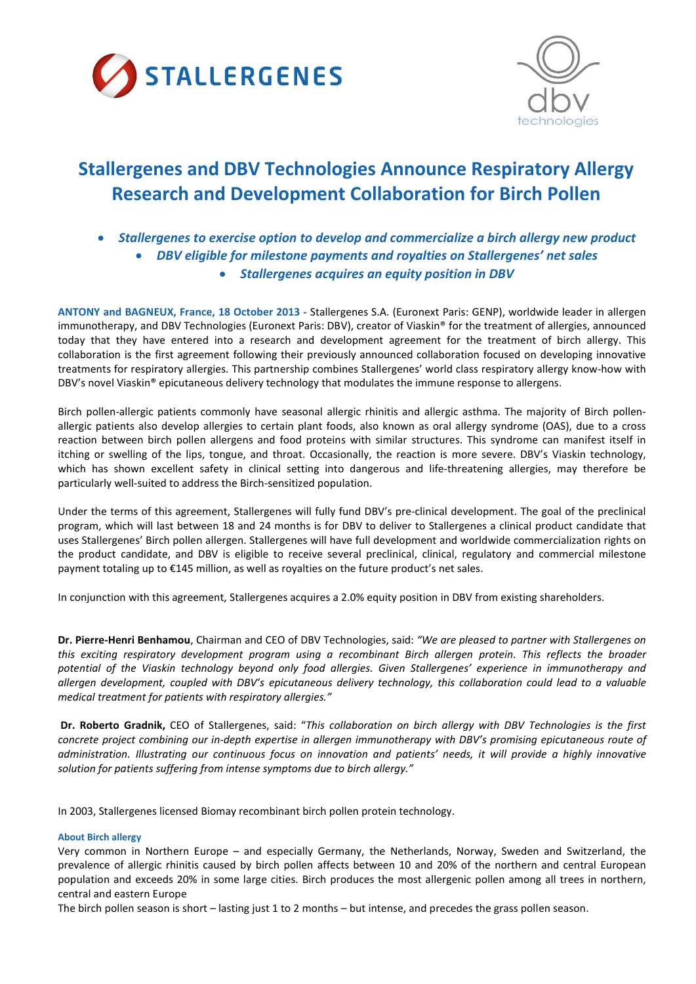



# Stallergenes and DBV Technologies Announce Respiratory Allergy Research and Development Collaboration for Birch Pollen

- *Stallergenes to exercise option to develop and commercialize a birch allergy new product*
	- *DBV eligible for milestone payments and royalties on Stallergenes' net sales*
		- *Stallergenes acquires an equity position in DBV*

ANTONY and BAGNEUX, France, 18 October 2013 - Stallergenes S.A. (Euronext Paris: GENP), worldwide leader in allergen immunotherapy, and DBV Technologies (Euronext Paris: DBV), creator of Viaskin® for the treatment of allergies, announced today that they have entered into a research and development agreement for the treatment of birch allergy. This collaboration is the first agreement following their previously announced collaboration focused on developing innovative treatments for respiratory allergies. This partnership combines Stallergenes' world class respiratory allergy know-how with DBV's novel Viaskin® epicutaneous delivery technology that modulates the immune response to allergens.

Birch pollen-allergic patients commonly have seasonal allergic rhinitis and allergic asthma. The majority of Birch pollenallergic patients also develop allergies to certain plant foods, also known as oral allergy syndrome (OAS), due to a cross reaction between birch pollen allergens and food proteins with similar structures. This syndrome can manifest itself in itching or swelling of the lips, tongue, and throat. Occasionally, the reaction is more severe. DBV's Viaskin technology, which has shown excellent safety in clinical setting into dangerous and life-threatening allergies, may therefore be particularly well-suited to address the Birch-sensitized population.

Under the terms of this agreement, Stallergenes will fully fund DBV's pre-clinical development. The goal of the preclinical program, which will last between 18 and 24 months is for DBV to deliver to Stallergenes a clinical product candidate that uses Stallergenes' Birch pollen allergen. Stallergenes will have full development and worldwide commercialization rights on the product candidate, and DBV is eligible to receive several preclinical, clinical, regulatory and commercial milestone payment totaling up to €145 million, as well as royalties on the future product's net sales.

In conjunction with this agreement, Stallergenes acquires a 2.0% equity position in DBV from existing shareholders.

Dr. Pierre-Henri Benhamou, Chairman and CEO of DBV Technologies, said: *"We are pleased to partner with Stallergenes on this exciting respiratory development program using a recombinant Birch allergen protein. This reflects the broader potential of the Viaskin technology beyond only food allergies. Given Stallergenes' experience in immunotherapy and allergen development, coupled with DBV's epicutaneous delivery technology, this collaboration could lead to a valuable medical treatment for patients with respiratory allergies."*

Dr. Roberto Gradnik, CEO of Stallergenes, said: "*This collaboration on birch allergy with DBV Technologies is the first concrete project combining our in-depth expertise in allergen immunotherapy with DBV's promising epicutaneous route of administration. Illustrating our continuous focus on innovation and patients' needs, it will provide a highly innovative solution for patients suffering from intense symptoms due to birch allergy."*

In 2003, Stallergenes licensed Biomay recombinant birch pollen protein technology.

# About Birch allergy

Very common in Northern Europe – and especially Germany, the Netherlands, Norway, Sweden and Switzerland, the prevalence of allergic rhinitis caused by birch pollen affects between 10 and 20% of the northern and central European population and exceeds 20% in some large cities. Birch produces the most allergenic pollen among all trees in northern, central and eastern Europe

The birch pollen season is short – lasting just 1 to 2 months – but intense, and precedes the grass pollen season.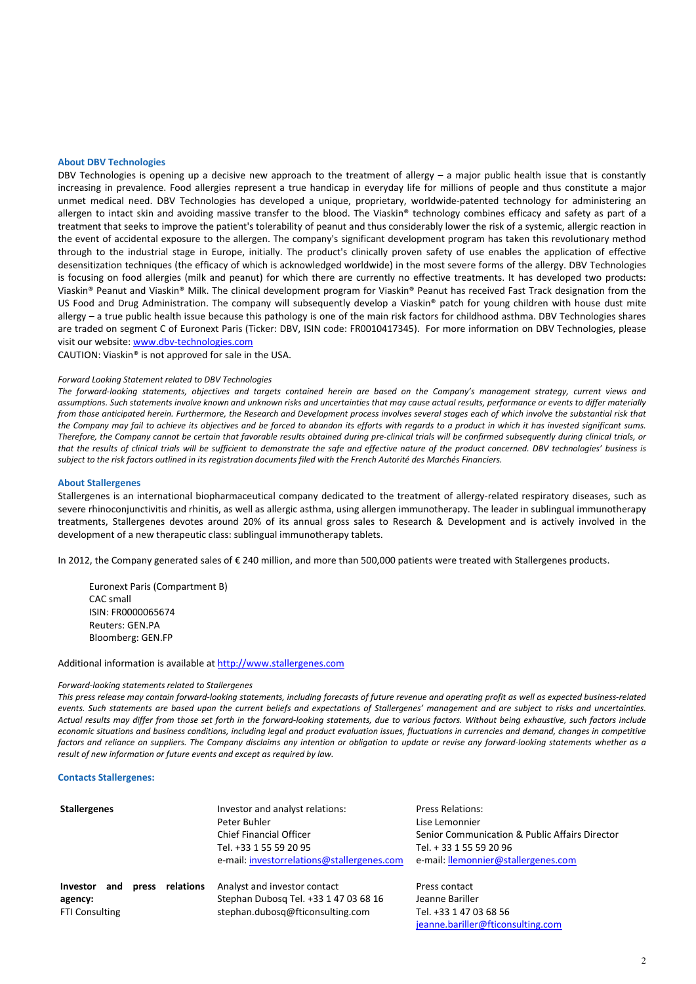#### About DBV Technologies

DBV Technologies is opening up a decisive new approach to the treatment of allergy – a major public health issue that is constantly increasing in prevalence. Food allergies represent a true handicap in everyday life for millions of people and thus constitute a major unmet medical need. DBV Technologies has developed a unique, proprietary, worldwide-patented technology for administering an allergen to intact skin and avoiding massive transfer to the blood. The Viaskin® technology combines efficacy and safety as part of a treatment that seeks to improve the patient's tolerability of peanut and thus considerably lower the risk of a systemic, allergic reaction in the event of accidental exposure to the allergen. The company's significant development program has taken this revolutionary method through to the industrial stage in Europe, initially. The product's clinically proven safety of use enables the application of effective desensitization techniques (the efficacy of which is acknowledged worldwide) in the most severe forms of the allergy. DBV Technologies is focusing on food allergies (milk and peanut) for which there are currently no effective treatments. It has developed two products: Viaskin® Peanut and Viaskin® Milk. The clinical development program for Viaskin® Peanut has received Fast Track designation from the US Food and Drug Administration. The company will subsequently develop a Viaskin® patch for young children with house dust mite allergy – a true public health issue because this pathology is one of the main risk factors for childhood asthma. DBV Technologies shares are traded on segment C of Euronext Paris (Ticker: DBV, ISIN code: FR0010417345). For more information on DBV Technologies, please visit our website: www.dbv-technologies.com

CAUTION: Viaskin® is not approved for sale in the USA.

#### *Forward Looking Statement related to DBV Technologies*

*The forward-looking statements, objectives and targets contained herein are based on the Company's management strategy, current views and assumptions. Such statements involve known and unknown risks and uncertainties that may cause actual results, performance or events to differ materially from those anticipated herein. Furthermore, the Research and Development process involves several stages each of which involve the substantial risk that the Company may fail to achieve its objectives and be forced to abandon its efforts with regards to a product in which it has invested significant sums. Therefore, the Company cannot be certain that favorable results obtained during pre-clinical trials will be confirmed subsequently during clinical trials, or that the results of clinical trials will be sufficient to demonstrate the safe and effective nature of the product concerned. DBV technologies' business is subject to the risk factors outlined in its registration documents filed with the French Autorité des Marchés Financiers.*

### About Stallergenes

Stallergenes is an international biopharmaceutical company dedicated to the treatment of allergy-related respiratory diseases, such as severe rhinoconjunctivitis and rhinitis, as well as allergic asthma, using allergen immunotherapy. The leader in sublingual immunotherapy treatments, Stallergenes devotes around 20% of its annual gross sales to Research & Development and is actively involved in the development of a new therapeutic class: sublingual immunotherapy tablets.

In 2012, the Company generated sales of € 240 million, and more than 500,000 patients were treated with Stallergenes products.

Euronext Paris (Compartment B) CAC small ISIN: FR0000065674 Reuters: GEN.PA Bloomberg: GEN.FP

Additional information is available at http://www.stallergenes.com

#### *Forward-looking statements related to Stallergenes*

*This press release may contain forward-looking statements, including forecasts of future revenue and operating profit as well as expected business-related events. Such statements are based upon the current beliefs and expectations of Stallergenes' management and are subject to risks and uncertainties. Actual results may differ from those set forth in the forward-looking statements, due to various factors. Without being exhaustive, such factors include economic situations and business conditions, including legal and product evaluation issues, fluctuations in currencies and demand, changes in competitive factors and reliance on suppliers. The Company disclaims any intention or obligation to update or revise any forward-looking statements whether as a result of new information or future events and except as required by law.*

#### Contacts Stallergenes:

| <b>Stallergenes</b>                                                              | Investor and analyst relations:<br>Peter Buhler<br><b>Chief Financial Officer</b><br>Tel. +33 1 55 59 20 95<br>e-mail: investorrelations@stallergenes.com | <b>Press Relations:</b><br>Lise Lemonnier<br>Senior Communication & Public Affairs Director<br>Tel. + 33 1 55 59 20 96<br>e-mail: llemonnier@stallergenes.com |
|----------------------------------------------------------------------------------|-----------------------------------------------------------------------------------------------------------------------------------------------------------|---------------------------------------------------------------------------------------------------------------------------------------------------------------|
| relations<br><b>Investor</b><br>and<br>press<br>agency:<br><b>FTI Consulting</b> | Analyst and investor contact<br>Stephan Dubosg Tel. +33 1 47 03 68 16<br>stephan.dubosq@fticonsulting.com                                                 | Press contact<br>Jeanne Bariller<br>Tel. +33 1 47 03 68 56<br>jeanne.bariller@fticonsulting.com                                                               |